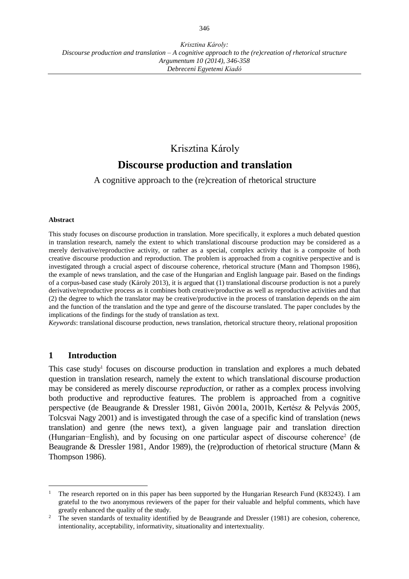# Krisztina Károly

# **Discourse production and translation**

A cognitive approach to the (re)creation of rhetorical structure

#### **Abstract**

This study focuses on discourse production in translation. More specifically, it explores a much debated question in translation research, namely the extent to which translational discourse production may be considered as a merely derivative/reproductive activity, or rather as a special, complex activity that is a composite of both creative discourse production and reproduction. The problem is approached from a cognitive perspective and is investigated through a crucial aspect of discourse coherence, rhetorical structure (Mann and Thompson 1986), the example of news translation, and the case of the Hungarian and English language pair. Based on the findings of a corpus-based case study (Károly 2013), it is argued that (1) translational discourse production is not a purely derivative/reproductive process as it combines both creative/productive as well as reproductive activities and that (2) the degree to which the translator may be creative/productive in the process of translation depends on the aim and the function of the translation and the type and genre of the discourse translated. The paper concludes by the implications of the findings for the study of translation as text.

*Keywords*: translational discourse production, news translation, rhetorical structure theory, relational proposition

### **1 Introduction**

 $\overline{a}$ 

This case study<sup>1</sup> focuses on discourse production in translation and explores a much debated question in translation research, namely the extent to which translational discourse production may be considered as merely discourse *reproduction*, or rather as a complex process involving both productive and reproductive features. The problem is approached from a cognitive perspective (de Beaugrande & Dressler 1981, Givón 2001a, 2001b, Kertész & Pelyvás 2005, Tolcsvai Nagy 2001) and is investigated through the case of a specific kind of translation (news translation) and genre (the news text), a given language pair and translation direction (Hungarian−English), and by focusing on one particular aspect of discourse coherence<sup>2</sup> (de Beaugrande & Dressler 1981, Andor 1989), the (re)production of rhetorical structure (Mann & Thompson 1986).

<sup>1</sup> The research reported on in this paper has been supported by the Hungarian Research Fund (K83243). I am grateful to the two anonymous reviewers of the paper for their valuable and helpful comments, which have greatly enhanced the quality of the study.

<sup>&</sup>lt;sup>2</sup> The seven standards of textuality identified by de Beaugrande and Dressler (1981) are cohesion, coherence, intentionality, acceptability, informativity, situationality and intertextuality.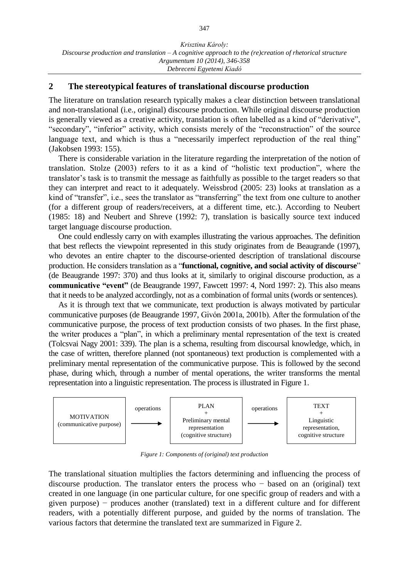#### **2 The stereotypical features of translational discourse production**

The literature on translation research typically makes a clear distinction between translational and non-translational (i.e., original) discourse production. While original discourse production is generally viewed as a creative activity, translation is often labelled as a kind of "derivative", "secondary", "inferior" activity, which consists merely of the "reconstruction" of the source language text, and which is thus a "necessarily imperfect reproduction of the real thing" (Jakobsen 1993: 155).

There is considerable variation in the literature regarding the interpretation of the notion of translation. Stolze (2003) refers to it as a kind of "holistic text production", where the translator's task is to transmit the message as faithfully as possible to the target readers so that they can interpret and react to it adequately. Weissbrod (2005: 23) looks at translation as a kind of "transfer", i.e., sees the translator as "transferring" the text from one culture to another (for a different group of readers/receivers, at a different time, etc.). According to Neubert (1985: 18) and Neubert and Shreve (1992: 7), translation is basically source text induced target language discourse production.

One could endlessly carry on with examples illustrating the various approaches. The definition that best reflects the viewpoint represented in this study originates from de Beaugrande (1997), who devotes an entire chapter to the discourse-oriented description of translational discourse production. He considers translation as a "**functional, cognitive, and social activity of discourse**" (de Beaugrande 1997: 370) and thus looks at it, similarly to original discourse production, as a **communicative "event"** (de Beaugrande 1997, Fawcett 1997: 4, Nord 1997: 2). This also means that it needs to be analyzed accordingly, not as a combination of formal units (words or sentences).

As it is through text that we communicate, text production is always motivated by particular communicative purposes (de Beaugrande 1997, Givón 2001a, 2001b). After the formulation of the communicative purpose, the process of text production consists of two phases. In the first phase, the writer produces a "plan", in which a preliminary mental representation of the text is created (Tolcsvai Nagy 2001: 339). The plan is a schema, resulting from discoursal knowledge, which, in the case of written, therefore planned (not spontaneous) text production is complemented with a preliminary mental representation of the communicative purpose. This is followed by the second phase, during which, through a number of mental operations, the writer transforms the mental representation into a linguistic representation. The process is illustrated in Figure 1.



*Figure 1: Components of (original) text production*

The translational situation multiplies the factors determining and influencing the process of discourse production. The translator enters the process who − based on an (original) text created in one language (in one particular culture, for one specific group of readers and with a given purpose) − produces another (translated) text in a different culture and for different readers, with a potentially different purpose, and guided by the norms of translation. The various factors that determine the translated text are summarized in Figure 2.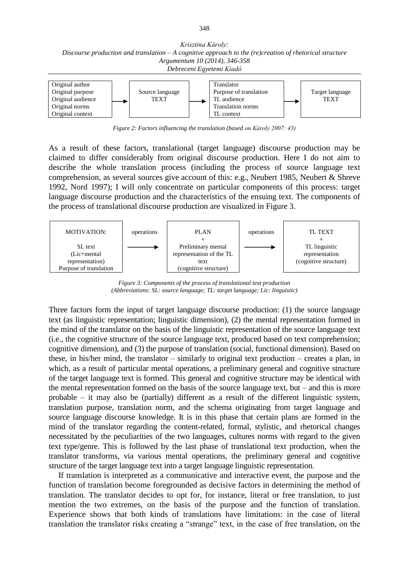*Krisztina Károly: Discourse production and translation – A cognitive approach to the (re)creation of rhetorical structure Argumentum 10 (2014), 346-358 Debreceni Egyetemi Kiadó*



*Figure 2: Factors influencing the translation (based on Károly 2007: 43)*

As a result of these factors, translational (target language) discourse production may be claimed to differ considerably from original discourse production. Here I do not aim to describe the whole translation process (including the process of source language text comprehension, as several sources give account of this: e.g., Neubert 1985, Neubert & Shreve 1992, Nord 1997); I will only concentrate on particular components of this process: target language discourse production and the characteristics of the ensuing text. The components of the process of translational discourse production are visualized in Figure 3.



*Figure 3: Components of the process of translational text production (Abbreviations: SL: source language; TL: target language; Lic: linguistic)*

Three factors form the input of target language discourse production: (1) the source language text (as linguistic representation; linguistic dimension), (2) the mental representation formed in the mind of the translator on the basis of the linguistic representation of the source language text (i.e., the cognitive structure of the source language text, produced based on text comprehension; cognitive dimension), and (3) the purpose of translation (social, functional dimension). Based on these, in his/her mind, the translator – similarly to original text production – creates a plan, in which, as a result of particular mental operations, a preliminary general and cognitive structure of the target language text is formed. This general and cognitive structure may be identical with the mental representation formed on the basis of the source language text, but – and this is more probable – it may also be (partially) different as a result of the different linguistic system, translation purpose, translation norm, and the schema originating from target language and source language discourse knowledge. It is in this phase that certain plans are formed in the mind of the translator regarding the content-related, formal, stylistic, and rhetorical changes necessitated by the peculiarities of the two languages, cultures norms with regard to the given text type/genre. This is followed by the last phase of translational text production, when the translator transforms, via various mental operations, the preliminary general and cognitive structure of the target language text into a target language linguistic representation.

If translation is interpreted as a communicative and interactive event, the purpose and the function of translation become foregrounded as decisive factors in determining the method of translation. The translator decides to opt for, for instance, literal or free translation, to just mention the two extremes, on the basis of the purpose and the function of translation. Experience shows that both kinds of translations have limitations: in the case of literal translation the translator risks creating a "strange" text, in the case of free translation, on the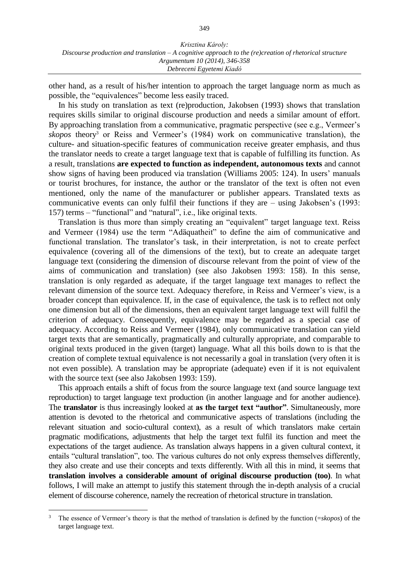other hand, as a result of his/her intention to approach the target language norm as much as possible, the "equivalences" become less easily traced.

In his study on translation as text (re)production, Jakobsen (1993) shows that translation requires skills similar to original discourse production and needs a similar amount of effort. By approaching translation from a communicative, pragmatic perspective (see e.g., Vermeer's *skopos* theory<sup>3</sup> or Reiss and Vermeer's (1984) work on communicative translation), the culture- and situation-specific features of communication receive greater emphasis, and thus the translator needs to create a target language text that is capable of fulfilling its function. As a result, translations **are expected to function as independent, autonomous texts** and cannot show signs of having been produced via translation (Williams 2005: 124). In users' manuals or tourist brochures, for instance, the author or the translator of the text is often not even mentioned, only the name of the manufacturer or publisher appears. Translated texts as communicative events can only fulfil their functions if they are – using Jakobsen's (1993: 157) terms – "functional" and "natural", i.e., like original texts.

Translation is thus more than simply creating an "equivalent" target language text. Reiss and Vermeer (1984) use the term "Adäquatheit" to define the aim of communicative and functional translation. The translator's task, in their interpretation, is not to create perfect equivalence (covering all of the dimensions of the text), but to create an adequate target language text (considering the dimension of discourse relevant from the point of view of the aims of communication and translation) (see also Jakobsen 1993: 158). In this sense, translation is only regarded as adequate, if the target language text manages to reflect the relevant dimension of the source text. Adequacy therefore, in Reiss and Vermeer's view, is a broader concept than equivalence. If, in the case of equivalence, the task is to reflect not only one dimension but all of the dimensions, then an equivalent target language text will fulfil the criterion of adequacy. Consequently, equivalence may be regarded as a special case of adequacy. According to Reiss and Vermeer (1984), only communicative translation can yield target texts that are semantically, pragmatically and culturally appropriate, and comparable to original texts produced in the given (target) language. What all this boils down to is that the creation of complete textual equivalence is not necessarily a goal in translation (very often it is not even possible). A translation may be appropriate (adequate) even if it is not equivalent with the source text (see also Jakobsen 1993: 159).

This approach entails a shift of focus from the source language text (and source language text reproduction) to target language text production (in another language and for another audience). The **translator** is thus increasingly looked at **as the target text "author"**. Simultaneously, more attention is devoted to the rhetorical and communicative aspects of translations (including the relevant situation and socio-cultural context), as a result of which translators make certain pragmatic modifications, adjustments that help the target text fulfil its function and meet the expectations of the target audience. As translation always happens in a given cultural context, it entails "cultural translation", too. The various cultures do not only express themselves differently, they also create and use their concepts and texts differently. With all this in mind, it seems that **translation involves a considerable amount of original discourse production (too)**. In what follows, I will make an attempt to justify this statement through the in-depth analysis of a crucial element of discourse coherence, namely the recreation of rhetorical structure in translation.

 $\overline{a}$ 

<sup>3</sup> The essence of Vermeer's theory is that the method of translation is defined by the function (=*skopos*) of the target language text.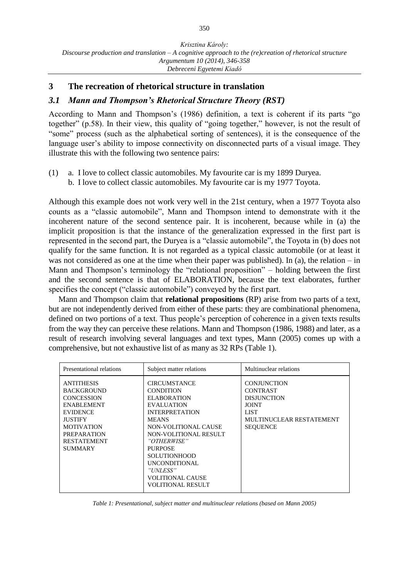## **3 The recreation of rhetorical structure in translation**

## *3.1 Mann and Thompson's Rhetorical Structure Theory (RST)*

According to Mann and Thompson's (1986) definition, a text is coherent if its parts "go together" (p.58). In their view, this quality of "going together," however, is not the result of "some" process (such as the alphabetical sorting of sentences), it is the consequence of the language user's ability to impose connectivity on disconnected parts of a visual image. They illustrate this with the following two sentence pairs:

(1) a. I love to collect classic automobiles. My favourite car is my 1899 Duryea. b. I love to collect classic automobiles. My favourite car is my 1977 Toyota.

Although this example does not work very well in the 21st century, when a 1977 Toyota also counts as a "classic automobile", Mann and Thompson intend to demonstrate with it the incoherent nature of the second sentence pair. It is incoherent, because while in (a) the implicit proposition is that the instance of the generalization expressed in the first part is represented in the second part, the Duryea is a "classic automobile", the Toyota in (b) does not qualify for the same function. It is not regarded as a typical classic automobile (or at least it was not considered as one at the time when their paper was published). In (a), the relation – in Mann and Thompson's terminology the "relational proposition" – holding between the first and the second sentence is that of ELABORATION, because the text elaborates, further specifies the concept ("classic automobile") conveyed by the first part.

Mann and Thompson claim that **relational propositions** (RP) arise from two parts of a text, but are not independently derived from either of these parts: they are combinational phenomena, defined on two portions of a text. Thus people's perception of coherence in a given texts results from the way they can perceive these relations. Mann and Thompson (1986, 1988) and later, as a result of research involving several languages and text types, Mann (2005) comes up with a comprehensive, but not exhaustive list of as many as 32 RPs (Table 1).

| Presentational relations                                                                                                                                                                                 | Subject matter relations                                                                                                                                                                                                                                                                                          | Multinuclear relations                                                                                                             |
|----------------------------------------------------------------------------------------------------------------------------------------------------------------------------------------------------------|-------------------------------------------------------------------------------------------------------------------------------------------------------------------------------------------------------------------------------------------------------------------------------------------------------------------|------------------------------------------------------------------------------------------------------------------------------------|
| <b>ANTITHESIS</b><br><b>BACKGROUND</b><br><b>CONCESSION</b><br><b>ENABLEMENT</b><br><b>EVIDENCE</b><br><b>JUSTIFY</b><br><b>MOTIVATION</b><br><b>PREPARATION</b><br><b>RESTATEMENT</b><br><b>SUMMARY</b> | <b>CIRCUMSTANCE</b><br><b>CONDITION</b><br><b>ELABORATION</b><br><b>EVALUATION</b><br><b>INTERPRETATION</b><br><b>MEANS</b><br>NON-VOLITIONAL CAUSE<br>NON-VOLITIONAL RESULT<br>"OTHERWISE"<br><b>PURPOSE</b><br><b>SOLUTIONHOOD</b><br>UNCONDITIONAL<br>"UNLESS"<br><b>VOLITIONAL CAUSE</b><br>VOLITIONAL RESULT | <b>CONJUNCTION</b><br><b>CONTRAST</b><br><b>DISJUNCTION</b><br><b>JOINT</b><br>LIST<br>MULTINUCLEAR RESTATEMENT<br><b>SEQUENCE</b> |

*Table 1: Presentational, subject matter and multinuclear relations (based on Mann 2005)*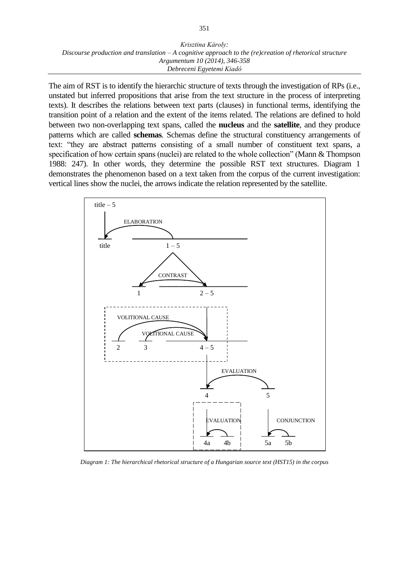The aim of RST is to identify the hierarchic structure of texts through the investigation of RPs (i.e., unstated but inferred propositions that arise from the text structure in the process of interpreting texts). It describes the relations between text parts (clauses) in functional terms, identifying the transition point of a relation and the extent of the items related. The relations are defined to hold between two non-overlapping text spans, called the **nucleus** and the **satellite***,* and they produce patterns which are called **schemas***.* Schemas define the structural constituency arrangements of text: "they are abstract patterns consisting of a small number of constituent text spans, a specification of how certain spans (nuclei) are related to the whole collection" (Mann & Thompson 1988: 247). In other words, they determine the possible RST text structures. Diagram 1 demonstrates the phenomenon based on a text taken from the corpus of the current investigation: vertical lines show the nuclei, the arrows indicate the relation represented by the satellite.



*Diagram 1: The hierarchical rhetorical structure of a Hungarian source text (HST15) in the corpus*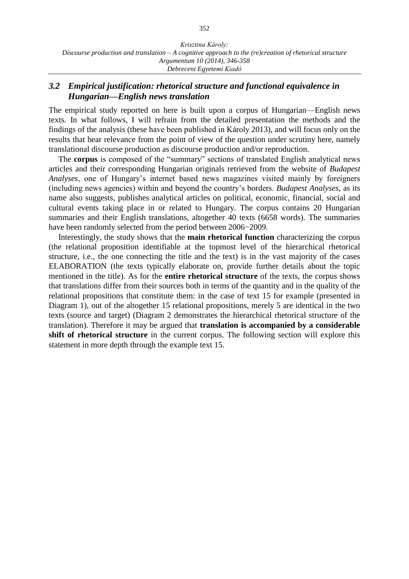# *3.2 Empirical justification: rhetorical structure and functional equivalence in Hungarian—English news translation*

The empirical study reported on here is built upon a corpus of Hungarian—English news texts. In what follows, I will refrain from the detailed presentation the methods and the findings of the analysis (these have been published in Károly 2013), and will focus only on the results that bear relevance from the point of view of the question under scrutiny here, namely translational discourse production as discourse production and/or reproduction.

The **corpus** is composed of the "summary" sections of translated English analytical news articles and their corresponding Hungarian originals retrieved from the website of *Budapest Analyses*, one of Hungary's internet based news magazines visited mainly by foreigners (including news agencies) within and beyond the country's borders. *Budapest Analyses*, as its name also suggests, publishes analytical articles on political, economic, financial, social and cultural events taking place in or related to Hungary. The corpus contains 20 Hungarian summaries and their English translations, altogether 40 texts (6658 words). The summaries have been randomly selected from the period between 2006−2009.

Interestingly, the study shows that the **main rhetorical function** characterizing the corpus (the relational proposition identifiable at the topmost level of the hierarchical rhetorical structure, i.e., the one connecting the title and the text) is in the vast majority of the cases ELABORATION (the texts typically elaborate on, provide further details about the topic mentioned in the title). As for the **entire rhetorical structure** of the texts, the corpus shows that translations differ from their sources both in terms of the quantity and in the quality of the relational propositions that constitute them: in the case of text 15 for example (presented in Diagram 1), out of the altogether 15 relational propositions, merely 5 are identical in the two texts (source and target) (Diagram 2 demonstrates the hierarchical rhetorical structure of the translation). Therefore it may be argued that **translation is accompanied by a considerable shift of rhetorical structure** in the current corpus. The following section will explore this statement in more depth through the example text 15.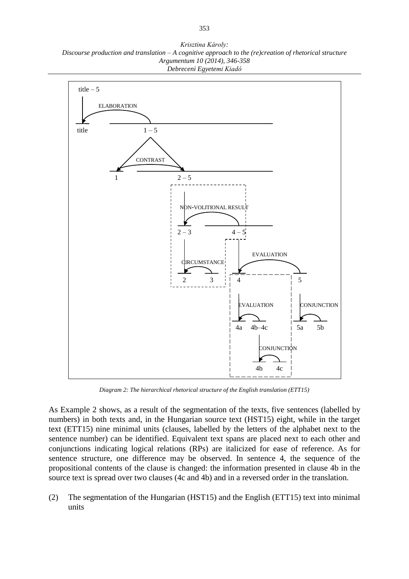*Krisztina Károly: Discourse production and translation – A cognitive approach to the (re)creation of rhetorical structure Argumentum 10 (2014), 346-358 Debreceni Egyetemi Kiadó*



*Diagram 2: The hierarchical rhetorical structure of the English translation (ETT15)*

As Example 2 shows, as a result of the segmentation of the texts, five sentences (labelled by numbers) in both texts and, in the Hungarian source text (HST15) eight, while in the target text (ETT15) nine minimal units (clauses, labelled by the letters of the alphabet next to the sentence number) can be identified. Equivalent text spans are placed next to each other and conjunctions indicating logical relations (RPs) are italicized for ease of reference. As for sentence structure, one difference may be observed. In sentence 4, the sequence of the propositional contents of the clause is changed: the information presented in clause 4b in the source text is spread over two clauses (4c and 4b) and in a reversed order in the translation.

(2) The segmentation of the Hungarian (HST15) and the English (ETT15) text into minimal units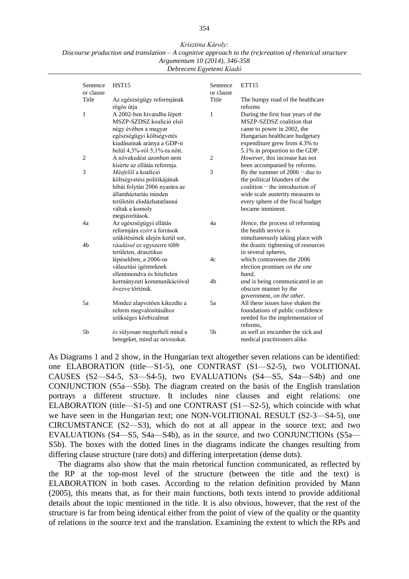*Krisztina Károly: Discourse production and translation – A cognitive approach to the (re)creation of rhetorical structure Argumentum 10 (2014), 346-358 Debreceni Egyetemi Kiadó*

| Sentence<br>or clause | HST <sub>15</sub>                                                                                                                                                               | Sentence<br>or clause | ETT <sub>15</sub>                                                                                                                                                                                          |
|-----------------------|---------------------------------------------------------------------------------------------------------------------------------------------------------------------------------|-----------------------|------------------------------------------------------------------------------------------------------------------------------------------------------------------------------------------------------------|
| Title                 | Az egészségügy reformjának<br>rögös útja                                                                                                                                        | Title                 | The bumpy road of the healthcare<br>reforms                                                                                                                                                                |
| 1                     | A 2002-ben hivatalba lépett<br>MSZP-SZDSZ koalíció első<br>négy évében a magyar<br>egészségügyi költségvetés<br>kiadásainak aránya a GDP-n<br>belül 4,3%-ról 5,1%-ra nőtt.      | 1                     | During the first four years of the<br>MSZP-SZDSZ coalition that<br>came to power in 2002, the<br>Hungarian healthcare budgetary<br>expenditure grew from 4.3% to<br>5.1% in proportion to the GDP.         |
| $\overline{c}$        | A növekedést azonban nem<br>kísérte az ellátás reformia.                                                                                                                        | $\overline{c}$        | However, this increase has not<br>been accompanied by reforms.                                                                                                                                             |
| 3                     | Másfelől a koalíció<br>költségvetési politikájának<br>hibái folytán 2006 nyarára az<br>államháztartás minden<br>területén elodázhatatlanná<br>váltak a komoly<br>megszorítások. | 3                     | By the summer of $2006 -$ due to<br>the political blunders of the<br>$\alpha$ coalition – the introduction of<br>wide scale austerity measures to<br>every sphere of the fiscal budget<br>became imminent. |
| 4a                    | Az egészségügyi ellátás<br>reformjára ezért a források<br>szűkítésének idején kerül sor,                                                                                        | 4a                    | Hence, the process of reforming<br>the health service is<br>simultaneously taking place with                                                                                                               |
| 4b                    | ráadásul ez egyszerre több<br>területen, drasztikus                                                                                                                             |                       | the drastic tightening of resources<br>in several spheres,                                                                                                                                                 |
|                       | lépésekben, a 2006-os<br>választási ígéreteknek<br>ellentmondya és hiteltelen                                                                                                   | 4c                    | which contravenes the 2006<br>election promises on the one<br>hand,                                                                                                                                        |
|                       | kormányzati kommunikációval<br>övezve történik.                                                                                                                                 | 4b                    | and is being communicated in an<br>obscure manner by the<br>government, on the other.                                                                                                                      |
| 5a                    | Mindez alapvetően kikezdte a<br>reform megvalósításához<br>szükséges közbizalmat                                                                                                | 5a                    | All these issues have shaken the<br>foundations of public confidence<br>needed for the implementation of<br>reforms.                                                                                       |
| 5b                    | és súlyosan megterheli mind a<br>betegeket, mind az orvosokat.                                                                                                                  | 5 <sub>b</sub>        | as well as encumber the sick and<br>medical practitioners alike.                                                                                                                                           |

As Diagrams 1 and 2 show, in the Hungarian text altogether seven relations can be identified: one ELABORATION (title—S1-5), one CONTRAST (S1—S2-5), two VOLITIONAL CAUSES (S2—S4-5, S3—S4-5), two EVALUATIONs (S4—S5, S4a—S4b) and one CONJUNCTION (S5a—S5b). The diagram created on the basis of the English translation portrays a different structure. It includes nine clauses and eight relations: one ELABORATION (title—S1-5) and one CONTRAST (S1—S2-5), which coincide with what we have seen in the Hungarian text; one NON-VOLITIONAL RESULT (S2-3—S4-5), one CIRCUMSTANCE (S2—S3), which do not at all appear in the source text; and two EVALUATIONs (S4—S5, S4a—S4b), as in the source, and two CONJUNCTIONs (S5a— S5b). The boxes with the dotted lines in the diagrams indicate the changes resulting from differing clause structure (rare dots) and differing interpretation (dense dots).

The diagrams also show that the main rhetorical function communicated, as reflected by the RP at the top-most level of the structure (between the title and the text) is ELABORATION in both cases. According to the relation definition provided by Mann (2005), this means that, as for their main functions, both texts intend to provide additional details about the topic mentioned in the title. It is also obvious, however, that the rest of the structure is far from being identical either from the point of view of the quality or the quantity of relations in the source text and the translation. Examining the extent to which the RPs and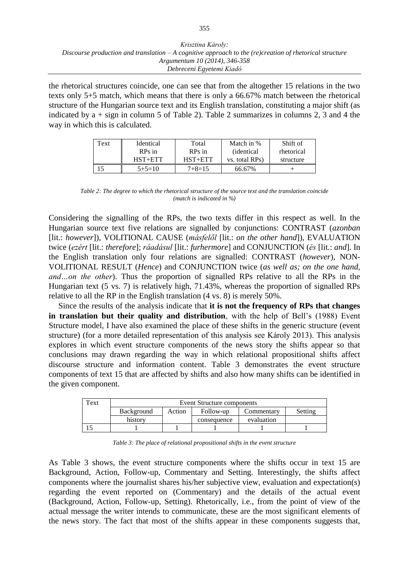the rhetorical structures coincide, one can see that from the altogether 15 relations in the two texts only 5+5 match, which means that there is only a 66.67% match between the rhetorical structure of the Hungarian source text and its English translation, constituting a major shift (as indicated by  $a + sign$  in column 5 of Table 2). Table 2 summarizes in columns 2, 3 and 4 the way in which this is calculated.

| Text | Identical   | Total        | Match in %         | Shift of   |
|------|-------------|--------------|--------------------|------------|
|      | RPs in      | RPs in       | <i>(identical)</i> | rhetorical |
|      | $HST + ETT$ | $HST + ETT$  | vs. total RPs)     | structure  |
|      | $5+5=10$    | $7 + 8 = 15$ | 66.67%             |            |

*Table 2: The degree to which the rhetorical structure of the source text and the translation coincide (match is indicated in %)*

Considering the signalling of the RPs, the two texts differ in this respect as well. In the Hungarian source text five relations are signalled by conjunctions: CONTRAST (*azonban* [lit.: *however*]), VOLITIONAL CAUSE (*másfelől* [lit.: *on the other hand*]), EVALUATION twice (*ezért* [lit.: *therefore*]; *ráadásul* [lit.: *furhermore*] and CONJUNCTION (*és* [lit.: *and*]. In the English translation only four relations are signalled: CONTRAST (*however*), NON-VOLITIONAL RESULT (*Hence*) and CONJUNCTION twice (*as well as; on the one hand, and…on the other*). Thus the proportion of signalled RPs relative to all the RPs in the Hungarian text (5 vs. 7) is relatively high, 71.43%, whereas the proportion of signalled RPs relative to all the RP in the English translation (4 vs. 8) is merely 50%.

Since the results of the analysis indicate that **it is not the frequency of RPs that changes in translation but their quality and distribution**, with the help of Bell's (1988) Event Structure model, I have also examined the place of these shifts in the generic structure (event structure) (for a more detailed representation of this analysis see Károly 2013). This analysis explores in which event structure components of the news story the shifts appear so that conclusions may drawn regarding the way in which relational propositional shifts affect discourse structure and information content. Table 3 demonstrates the event structure components of text 15 that are affected by shifts and also how many shifts can be identified in the given component.

| Text | Event Structure components |        |             |            |         |
|------|----------------------------|--------|-------------|------------|---------|
|      | Background                 | Action | Follow-up   | Commentary | Setting |
|      | history                    |        | consequence | evaluation |         |
|      |                            |        |             |            |         |

*Table 3: The place of relational propositional shifts in the event structure*

As Table 3 shows, the event structure components where the shifts occur in text 15 are Background, Action, Follow-up, Commentary and Setting. Interestingly, the shifts affect components where the journalist shares his/her subjective view, evaluation and expectation(s) regarding the event reported on (Commentary) and the details of the actual event (Background, Action, Follow-up, Setting). Rhetorically, i.e., from the point of view of the actual message the writer intends to communicate, these are the most significant elements of the news story. The fact that most of the shifts appear in these components suggests that,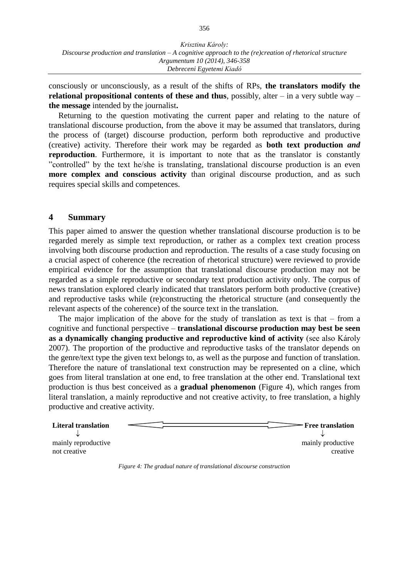consciously or unconsciously, as a result of the shifts of RPs, **the translators modify the relational propositional contents of these and thus**, possibly, alter – in a very subtle way – **the message** intended by the journalist**.**

Returning to the question motivating the current paper and relating to the nature of translational discourse production, from the above it may be assumed that translators, during the process of (target) discourse production, perform both reproductive and productive (creative) activity. Therefore their work may be regarded as **both text production** *and* **reproduction**. Furthermore, it is important to note that as the translator is constantly "controlled" by the text he/she is translating, translational discourse production is an even **more complex and conscious activity** than original discourse production, and as such requires special skills and competences.

#### **4 Summary**

This paper aimed to answer the question whether translational discourse production is to be regarded merely as simple text reproduction, or rather as a complex text creation process involving both discourse production and reproduction. The results of a case study focusing on a crucial aspect of coherence (the recreation of rhetorical structure) were reviewed to provide empirical evidence for the assumption that translational discourse production may not be regarded as a simple reproductive or secondary text production activity only. The corpus of news translation explored clearly indicated that translators perform both productive (creative) and reproductive tasks while (re)constructing the rhetorical structure (and consequently the relevant aspects of the coherence) of the source text in the translation.

The major implication of the above for the study of translation as text is that  $-$  from a cognitive and functional perspective – **translational discourse production may best be seen as a dynamically changing productive and reproductive kind of activity** (see also Károly 2007). The proportion of the productive and reproductive tasks of the translator depends on the genre/text type the given text belongs to, as well as the purpose and function of translation. Therefore the nature of translational text construction may be represented on a cline, which goes from literal translation at one end, to free translation at the other end. Translational text production is thus best conceived as a **gradual phenomenon** (Figure 4), which ranges from literal translation, a mainly reproductive and not creative activity, to free translation, a highly productive and creative activity.

| <b>Literal translation</b> | <b>- Free translation</b> |
|----------------------------|---------------------------|
| mainly reproductive        | mainly productive         |
| not creative               | creative                  |

*Figure 4: The gradual nature of translational discourse construction*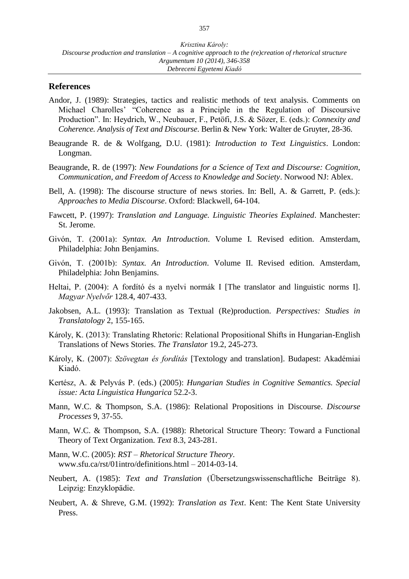#### **References**

- Andor, J. (1989): Strategies, tactics and realistic methods of text analysis. Comments on Michael Charolles' "Coherence as a Principle in the Regulation of Discoursive Production". In: Heydrich, W., Neubauer, F., Petöfi, J.S. & Sözer, E. (eds.): *Connexity and Coherence. Analysis of Text and Discourse*. Berlin & New York: Walter de Gruyter, 28-36.
- Beaugrande R. de & Wolfgang, D.U. (1981): *Introduction to Text Linguistics*. London: Longman.
- Beaugrande, R. de (1997): *New Foundations for a Science of Text and Discourse: Cognition, Communication, and Freedom of Access to Knowledge and Society*. Norwood NJ: Ablex.
- Bell, A. (1998): The discourse structure of news stories. In: Bell, A. & Garrett, P. (eds.): *Approaches to Media Discourse*. Oxford: Blackwell, 64-104.
- Fawcett, P. (1997): *Translation and Language. Linguistic Theories Explained*. Manchester: St. Jerome.
- Givón, T. (2001a): *Syntax. An Introduction*. Volume I. Revised edition. Amsterdam, Philadelphia: John Benjamins.
- Givón, T. (2001b): *Syntax. An Introduction*. Volume II. Revised edition. Amsterdam, Philadelphia: John Benjamins.
- Heltai, P. (2004): A fordító és a nyelvi normák I [The translator and linguistic norms I]. *Magyar Nyelvőr* 128.4, 407-433.
- Jakobsen, A.L. (1993): Translation as Textual (Re)production. *Perspectives: Studies in Translatology* 2, 155-165.
- Károly, K. (2013): Translating Rhetoric: Relational Propositional Shifts in Hungarian-English Translations of News Stories. *The Translator* 19.2, 245-273.
- Károly, K. (2007): *Szövegtan és fordítás* [Textology and translation]. Budapest: Akadémiai Kiadó.
- Kertész, A. & Pelyvás P. (eds.) (2005): *Hungarian Studies in Cognitive Semantics. Special issue: Acta Linguistica Hungarica* 52.2-3.
- Mann, W.C. & Thompson, S.A. (1986): Relational Propositions in Discourse. *Discourse Processes* 9, 37-55.
- Mann, W.C. & Thompson, S.A. (1988): Rhetorical Structure Theory: Toward a Functional Theory of Text Organization. *Text* 8.3, 243-281.
- Mann, W.C. (2005): *RST – Rhetorical Structure Theory*. [www.sfu.ca/rst/01intro/definitions.html –](http://www.sfu.ca/rst/01intro/definitions.html%20–%202014-03-14) 2014-03-14.
- Neubert, A. (1985): *Text and Translation* (Übersetzungswissenschaftliche Beiträge 8). Leipzig: Enzyklopädie.
- Neubert, A. & Shreve, G.M. (1992): *Translation as Text*. Kent: The Kent State University Press.